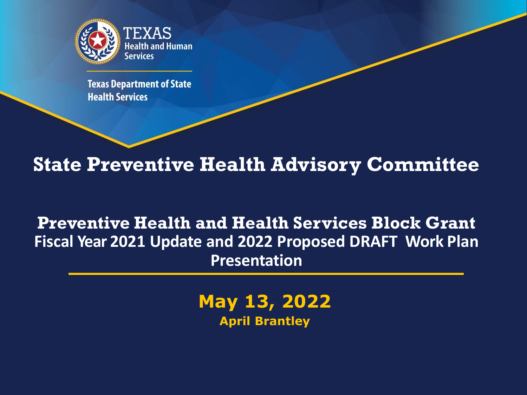

**Texas Department of State Health Services** 

## **State Preventive Health Advisory Committee**

### **Preventive Health and Health Services Block Grant Fiscal Year 2021 Update and 2022 Proposed DRAFT Work Plan Presentation**

**May 13, 2022 April Brantley**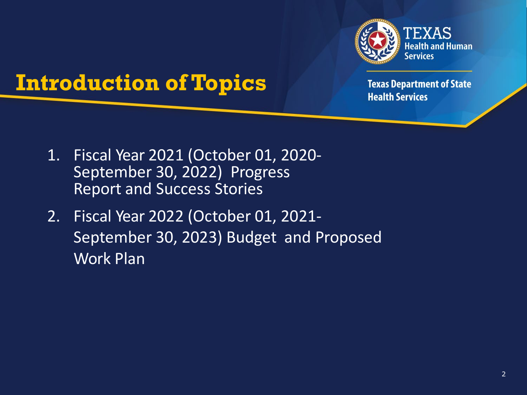

## **Introduction of Topics**

- 1. Fiscal Year 2021 (October 01, 2020- September 30, 2022) Progress Report and Success Stories
- 2. Fiscal Year 2022 (October 01, 2021- September 30, 2023) Budget and Proposed Work Plan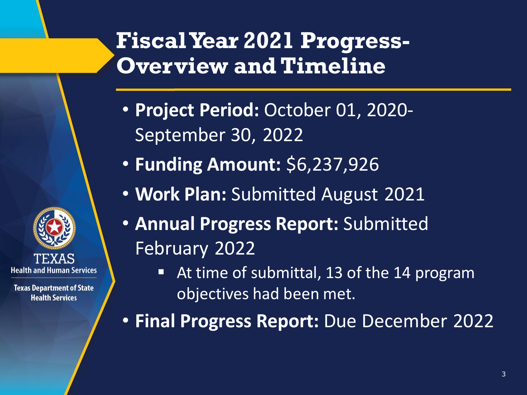## **Fiscal Year 2021 Progress-Overview and Timeline**

- **Project Period:** October 01, 2020- September 30, 2022
- **Funding Amount:** \$6,237,926

**Health and Human Services** 

**Texas Department of State Health Services** 

- **Work Plan:** Submitted August 2021
- **Annual Progress Report:** Submitted February 2022
	- At time of submittal, 13 of the 14 program objectives had been met.

• **Final Progress Report:** Due December 2022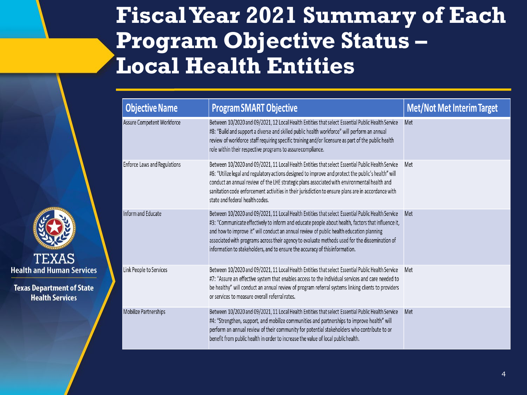## **Fiscal Year 2021 Summary of Each Program Objective Status – Local Health Entities**

| <b>Objective Name</b>        | <b>Program SMART Objective</b>                                                                                                                                                                                                                                                                                                                                                                                                                                                        | <b>Met/Not Met Interim Target</b> |
|------------------------------|---------------------------------------------------------------------------------------------------------------------------------------------------------------------------------------------------------------------------------------------------------------------------------------------------------------------------------------------------------------------------------------------------------------------------------------------------------------------------------------|-----------------------------------|
| Assure Competent Workforce   | Between 10/2020 and 09/2021, 12 Local Health Entities that select Essential Public Health Service<br>#8: "Build and support a diverse and skilled public health workforce" will perform an annual<br>review of workforce staff requiring specific training and/or licensure as part of the public health<br>role within their respective programs to assure compliance.                                                                                                               | Met                               |
| Enforce Laws and Regulations | Between 10/2020 and 09/2021, 11 Local Health Entities that select Essential Public Health Service<br>#6: "Utilize legal and regulatory actions designed to improve and protect the public's health" will<br>conduct an annual review of the LHE strategic plans associated with environmental health and<br>sanitation code enforcement activities in their jurisdiction to ensure plans are in accordance with<br>state and federal health codes.                                    | Met                               |
| Inform and Educate           | Between 10/2020 and 09/2021, 11 Local Health Entities that select Essential Public Health Service<br>#3: "Communicate effectively to inform and educate people about health, factors that influence it,<br>and how to improve it" will conduct an annual review of public health education planning<br>associated with programs across their agency to evaluate methods used for the dissemination of<br>information to stakeholders, and to ensure the accuracy of this information. | Met                               |
| Link People to Services      | Between 10/2020 and 09/2021, 11 Local Health Entities that select Essential Public Health Service<br>#7: "Assure an effective system that enables access to the individual services and care needed to<br>be healthy" will conduct an annual review of program referral systems linking clients to providers<br>or services to measure overall referral rates.                                                                                                                        | Met                               |
| Mobilize Partnerships        | Between 10/2020 and 09/2021, 11 Local Health Entities that select Essential Public Health Service<br>#4: "Strengthen, support, and mobilize communities and partnerships to improve health" will<br>perform an annual review of their community for potential stakeholders who contribute to or<br>benefit from public health in order to increase the value of local public health.                                                                                                  | Met                               |

TEXAS **Health and Human Services**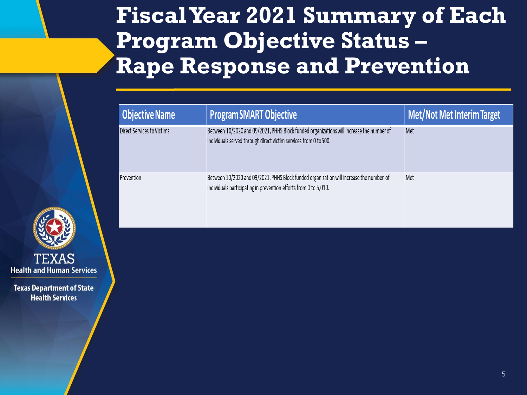## **Fiscal Year 2021 Summary of Each Program Objective Status – Rape Response and Prevention**

| <b>Objective Name</b>             | <b>Program SMART Objective</b>                                                                                                                               | <b>Met/Not Met Interim Target</b> |
|-----------------------------------|--------------------------------------------------------------------------------------------------------------------------------------------------------------|-----------------------------------|
| <b>Direct Services to Victims</b> | Between 10/2020 and 09/2021, PHHS Block funded organizations will increase the number of<br>individuals served through direct victim services from 0 to 500. | Met                               |
| Prevention                        | Between 10/2020 and 09/2021, PHHS Block funded organization will increase the number of<br>individuals participating in prevention efforts from 0 to 5,010.  | Met                               |

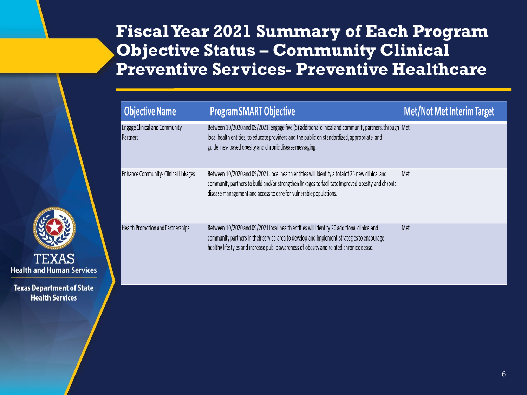### **Fiscal Year 2021 Summary of Each Program Objective Status – Community Clinical Preventive Services- Preventive Healthcare**

| <b>Objective Name</b>                            | <b>Program SMART Objective</b>                                                                                                                                                                                                                                                      | <b>Met/Not Met Interim Target</b> |
|--------------------------------------------------|-------------------------------------------------------------------------------------------------------------------------------------------------------------------------------------------------------------------------------------------------------------------------------------|-----------------------------------|
| <b>Engage Clinical and Community</b><br>Partners | Between 10/2020 and 09/2021, engage five (5) additional clinical and community partners, through Met<br>local health entities, to educate providers and the public on standardized, appropriate, and<br>guidelines- based obesity and chronic disease messaging.                    |                                   |
| Enhance Community- Clinical Linkages             | Between 10/2020 and 09/2021, local health entities will identify a totalof 25 new clinical and<br>community partners to build and/or strengthen linkages to facilitate improved obesity and chronic<br>disease management and access to care for vulnerable populations.            | Met                               |
| Health Promotion and Partnerships                | Between 10/2020 and 09/2021 local health entities will identify 20 additional clinical and<br>community partners in their service area to develop and implement strategies to encourage<br>healthy lifestyles and increase public awareness of obesity and related chronic disease. | Met                               |

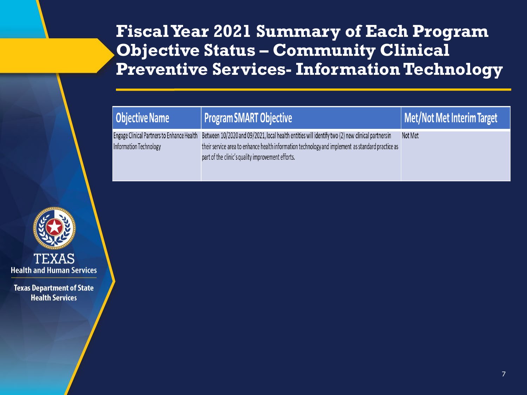## **Fiscal Year 2021 Summary of Each Program Objective Status – Community Clinical Preventive Services- Information Technology**

| Objective Name         | Program SMART Objective                                                                                                                                                                                                                                                                                | Met/Not Met Interim Target |
|------------------------|--------------------------------------------------------------------------------------------------------------------------------------------------------------------------------------------------------------------------------------------------------------------------------------------------------|----------------------------|
| Information Technology | Engage Clinical Partners to Enhance Health Between 10/2020 and 09/2021, local health entities will identify two (2) new clinical partners in<br>their service area to enhance health information technology and implement as standard practice as<br>part of the clinic's quality improvement efforts. | Not Met                    |

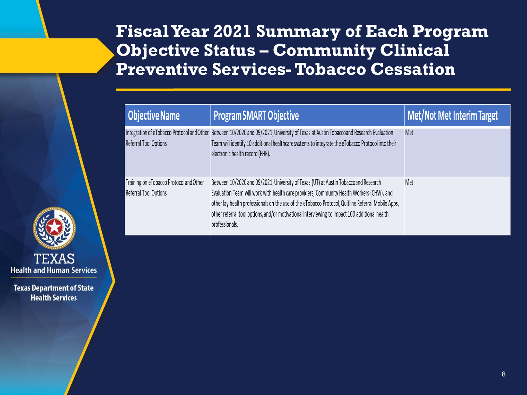### **Fiscal Year 2021 Summary of Each Program Objective Status – Community Clinical Preventive Services-Tobacco Cessation**

| <b>Objective Name</b>                                            | <b>Program SMART Objective</b>                                                                                                                                                                                                                                                                                                                                                                            | <b>Met/Not Met Interim Target</b> |
|------------------------------------------------------------------|-----------------------------------------------------------------------------------------------------------------------------------------------------------------------------------------------------------------------------------------------------------------------------------------------------------------------------------------------------------------------------------------------------------|-----------------------------------|
| Referral Tool Options                                            | Integration of eTobacco Protocol and Other Between 10/2020 and 09/2021, University of Texas at Austin Tobaccoand Research Evaluation<br>Team will identify 10 additional healthcare systems to integrate the eTobacco Protocol into their<br>electronic health record (EHR).                                                                                                                              | Met                               |
| Training on eTobacco Protocol and Other<br>Referral Tool Options | Between 10/2020 and 09/2021, University of Texas (UT) at Austin Tobaccoand Research<br>Evaluation Team will work with health care providers, Community Health Workers (CHW), and<br>other lay health professionals on the use of the eTobacco Protocol, Quitline Referral Mobile Apps,<br>other referral tool options, and/or motivational interviewing to impact 100 additional health<br>professionals. | Met                               |

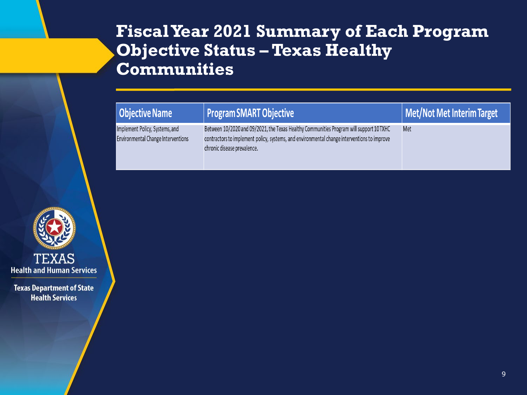### **Fiscal Year 2021 Summary of Each Program Objective Status – Texas Healthy Communities**

| <b>Objective Name</b>                                                       | Program SMART Objective                                                                                                                                                                                               | Met/Not Met Interim Target |
|-----------------------------------------------------------------------------|-----------------------------------------------------------------------------------------------------------------------------------------------------------------------------------------------------------------------|----------------------------|
| Implement Policy, Systems, and<br><b>Environmental Change Interventions</b> | Between 10/2020 and 09/2021, the Texas Healthy Communities Program will support 10 TXHC<br>contractors to implement policy, systems, and environmental change interventions to improve<br>chronic disease prevalence. | Met                        |

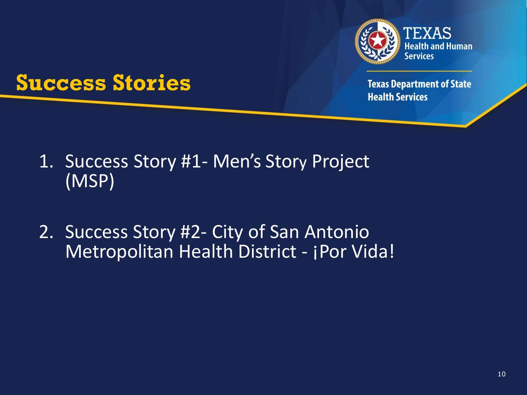

## **Success Stories**

- 1. Success Story #1- Men's Story Project (MSP)
- 2. Success Story #2- City of San Antonio Metropolitan Health District - ¡Por Vida!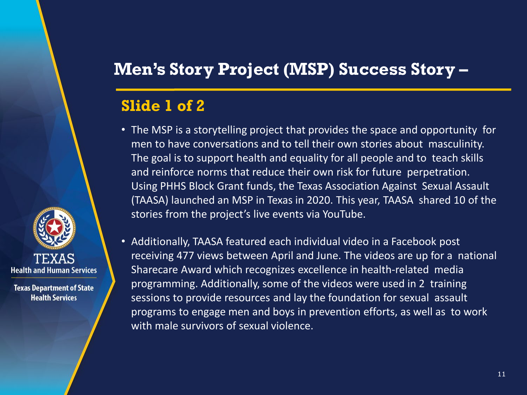## **Men's Story Project (MSP) Success Story –**

#### **Slide 1 of 2**

- The MSP is a storytelling project that provides the space and opportunity for men to have conversations and to tell their own stories about masculinity. The goal is to support health and equality for all people and to teach skills and reinforce norms that reduce their own risk for future perpetration. Using PHHS Block Grant funds, the Texas Association Against Sexual Assault (TAASA) launched an MSP in Texas in 2020. This year, TAASA shared 10 of the stories from the project's live events via YouTube.
- Additionally, TAASA featured each individual video in a Facebook post receiving 477 views between April and June. The videos are up for a national Sharecare Award which recognizes excellence in health-related media programming. Additionally, some of the videos were used in 2 training sessions to provide resources and lay the foundation for sexual assault programs to engage men and boys in prevention efforts, as well as to work with male survivors of sexual violence.

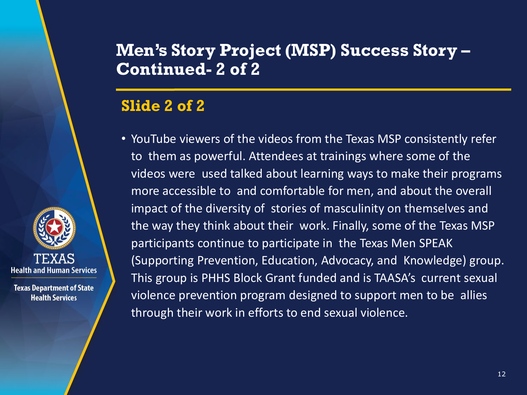#### **Men's Story Project (MSP) Success Story – Continued- 2 of 2**

#### **Slide 2 of 2**

**Health and Human Services** 

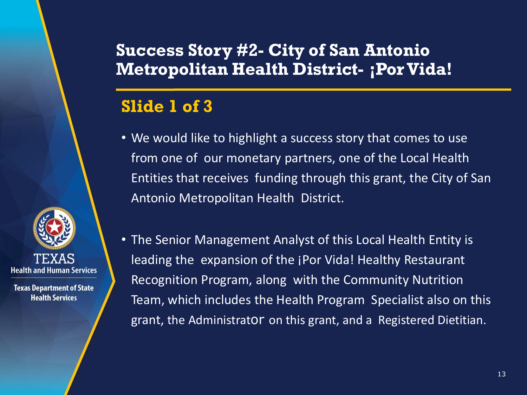### **Success Story #2- City of San Antonio Metropolitan Health District- <b>¡Por Vida!**

### **Slide 1 of 3**

- We would like to highlight a success story that comes to use from one of our monetary partners, one of the Local Health Entities that receives funding through this grant, the City of San Antonio Metropolitan Health District.
- **Health and Human Services**

**Texas Department of State Health Services** 

• The Senior Management Analyst of this Local Health Entity is leading the expansion of the ¡Por Vida! Healthy Restaurant Recognition Program, along with the Community Nutrition Team, which includes the Health Program Specialist also on this grant, the Administrator on this grant, and a Registered Dietitian.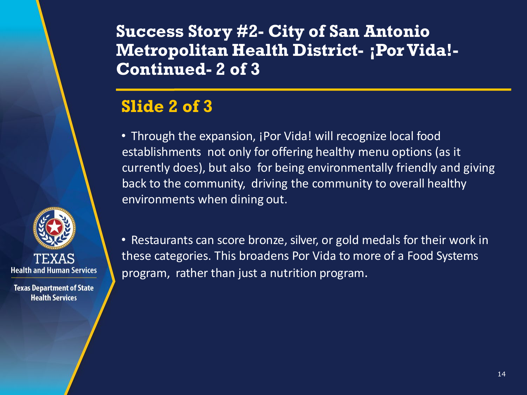**Success Story #2- City of San Antonio Metropolitan Health District- <b>;Por Vida!-Continued- 2 of 3**

#### **Slide 2 of 3**

• Through the expansion, *i* Por Vida! will recognize local food establishments not only for offering healthy menu options (as it currently does), but also for being environmentally friendly and giving back to the community, driving the community to overall healthy environments when dining out.



**Texas Department of State Health Services** 

• Restaurants can score bronze, silver, or gold medals for their work in these categories. This broadens Por Vida to more of a Food Systems program, rather than just a nutrition program.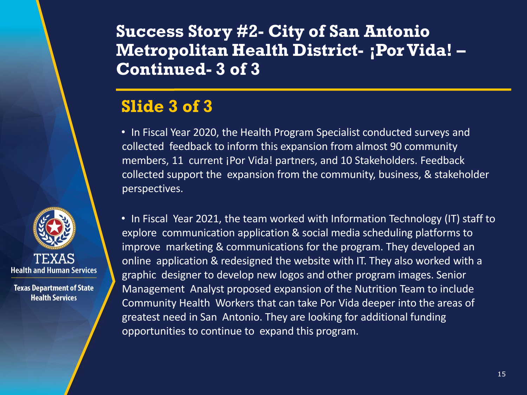#### **Success Story #2- City of San Antonio Metropolitan Health District- ¡PorVida! – Continued- 3 of 3**

#### **Slide 3 of 3**

• In Fiscal Year 2020, the Health Program Specialist conducted surveys and collected feedback to inform this expansion from almost 90 community members, 11 current *jPor Vida! partners, and 10 Stakeholders*. Feedback collected support the expansion from the community, business, & stakeholder perspectives.

• In Fiscal Year 2021, the team worked with Information Technology (IT) staff to explore communication application & social media scheduling platforms to improve marketing & communications for the program. They developed an online application & redesigned the website with IT. They also worked with a graphic designer to develop new logos and other program images. Senior Management Analyst proposed expansion of the Nutrition Team to include Community Health Workers that can take Por Vida deeper into the areas of greatest need in San Antonio. They are looking for additional funding opportunities to continue to expand this program.

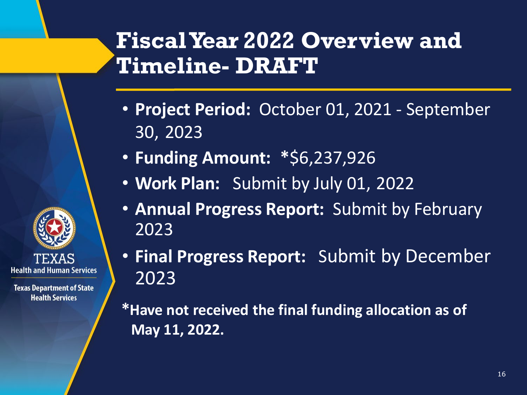## **Fiscal Year 2022 Overview and Timeline- DRAFT**

- **Project Period:** October 01, 2021 September 30, 2023
- **Funding Amount: \***\$6,237,926
- **Work Plan:** Submit by July 01, 2022
- **Annual Progress Report:** Submit by February 2023
- **Final Progress Report:** Submit by December 2023
- **\*Have not received the final funding allocation as of May 11, 2022.**

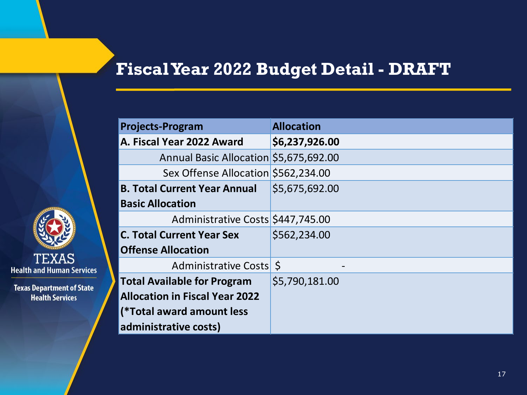### **Fiscal Year 2022 Budget Detail - DRAFT**

| TEXAS<br>lealth and Human Services |  |
|------------------------------------|--|

| <b>Projects-Program</b>                | <b>Allocation</b> |
|----------------------------------------|-------------------|
| A. Fiscal Year 2022 Award              | \$6,237,926.00    |
| Annual Basic Allocation \$5,675,692.00 |                   |
| Sex Offense Allocation \$562,234.00    |                   |
| <b>B. Total Current Year Annual</b>    | \$5,675,692.00    |
| <b>Basic Allocation</b>                |                   |
| Administrative Costs \$447,745.00      |                   |
| <b>C. Total Current Year Sex</b>       | \$562,234.00      |
| <b>Offense Allocation</b>              |                   |
| Administrative Costs \$                |                   |
| <b>Total Available for Program</b>     | \$5,790,181.00    |
| <b>Allocation in Fiscal Year 2022</b>  |                   |
| (*Total award amount less              |                   |
| administrative costs)                  |                   |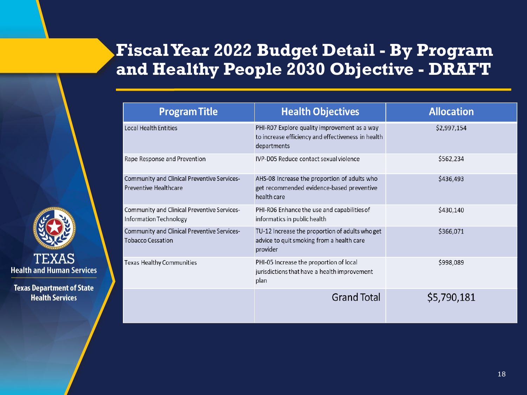## **Fiscal Year 2022 Budget Detail - By Program and Healthy People 2030 Objective - DRAFT**

| <b>Program Title</b>                                                    | <b>Health Objectives</b>                                                                                          | <b>Allocation</b> |
|-------------------------------------------------------------------------|-------------------------------------------------------------------------------------------------------------------|-------------------|
| <b>Local Health Entities</b>                                            | PHI-R07 Explore quality improvement as a way<br>to increase efficiency and effectiveness in health<br>departments | \$2,997,154       |
| Rape Response and Prevention                                            | IVP-D05 Reduce contact sexual violence                                                                            | \$562,234         |
| Community and Clinical Preventive Services-<br>Preventive Healthcare    | AHS-08 Increase the proportion of adults who<br>get recommended evidence-based preventive<br>health care          | \$436,493         |
| Community and Clinical Preventive Services-<br>Information Technology   | PHI-R06 Enhance the use and capabilities of<br>informatics in public health                                       | \$430,140         |
| Community and Clinical Preventive Services-<br><b>Tobacco Cessation</b> | TU-12 Increase the proportion of adults who get<br>advice to quit smoking from a health care<br>provider          | \$366,071         |
| Texas Healthy Communities                                               | PHI-05 Increase the proportion of local<br>jurisdictions that have a health improvement<br>plan                   | \$998,089         |
|                                                                         | <b>Grand Total</b>                                                                                                | \$5,790,181       |

**TEXAS Health and Human Services**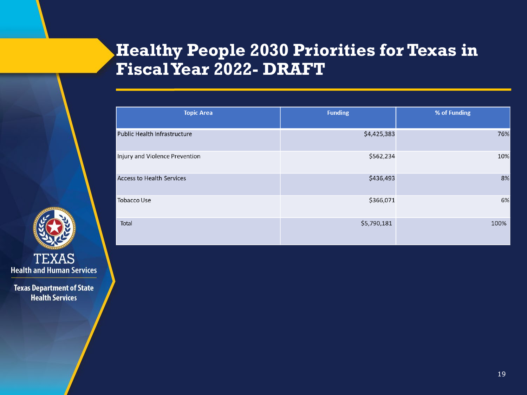## **Healthy People 2030 Priorities for Texas in Fiscal Year 2022- DRAFT**



| <b>Topic Area</b>                | <b>Funding</b> | % of Funding |
|----------------------------------|----------------|--------------|
| Public Health Infrastructure     | \$4,425,383    | 76%          |
| njury and Violence Prevention    | \$562,234      | 10%          |
| <b>Access to Health Services</b> | \$436,493      | 8%           |
| <b>Tobacco Use</b>               | \$366,071      | 6%           |
| Total                            | \$5,790,181    | 100%         |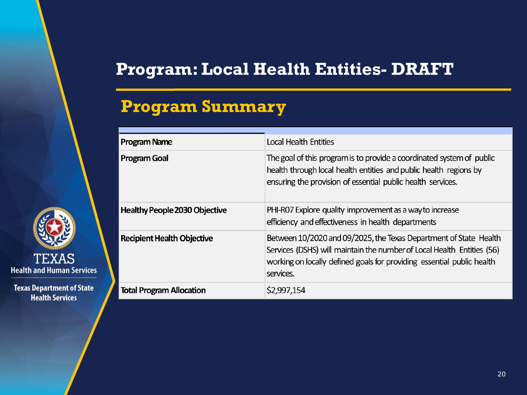## **Program: Local Health Entities- DRAFT**

## **Program Summary**



| Program Name                    | Local Health Entities                                                                                                                                                                                                              |
|---------------------------------|------------------------------------------------------------------------------------------------------------------------------------------------------------------------------------------------------------------------------------|
| Program Goal                    | The goal of this program is to provide a coordinated system of public<br>health through local health entities and public health regions by<br>ensuring the provision of essential public health services.                          |
| Healthy People 2030 Objective   | PHI-R07 Explore quality improvement as a way to increase<br>efficiency and effectiveness in health departments                                                                                                                     |
| Recipient Health Objective      | Between 10/2020 and 09/2025, the Texas Department of State Health<br>Services (DSHS) will maintain the number of Local Health Entities (56)<br>working on locally defined goals for providing essential public health<br>services. |
| <b>Total Program Allocation</b> | \$2,997,154                                                                                                                                                                                                                        |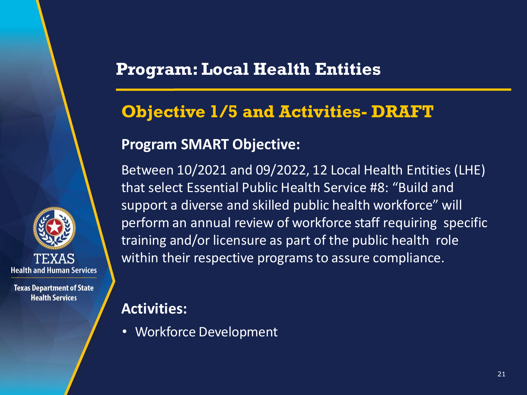## **Objective 1/5 and Activities- DRAFT**

#### **Program SMART Objective:**

Between 10/2021 and 09/2022, 12 Local Health Entities (LHE) that select Essential Public Health Service #8: "Build and support a diverse and skilled public health workforce" will perform an annual review of workforce staff requiring specific training and/or licensure as part of the public health role within their respective programs to assure compliance.

**Activities:**

**Health and Human Services** 

**Texas Department of State Health Services** 

• Workforce Development

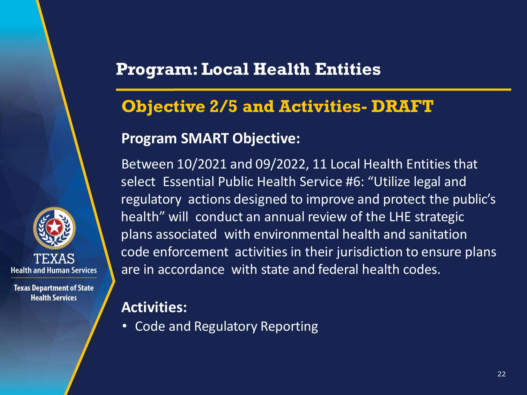### **Objective 2/5 and Activities- DRAFT**

#### **Program SMART Objective:**

Between 10/2021 and 09/2022, 11 Local Health Entities that select Essential Public Health Service #6: "Utilize legal and regulatory actions designed to improve and protect the public's health" will conduct an annual review of the LHE strategic plans associated with environmental health and sanitation code enforcement activities in their jurisdiction to ensure plans are in accordance with state and federal health codes.

#### **Activities:**

**Health and Human Services** 

**Texas Department of State Health Services** 

• Code and Regulatory Reporting

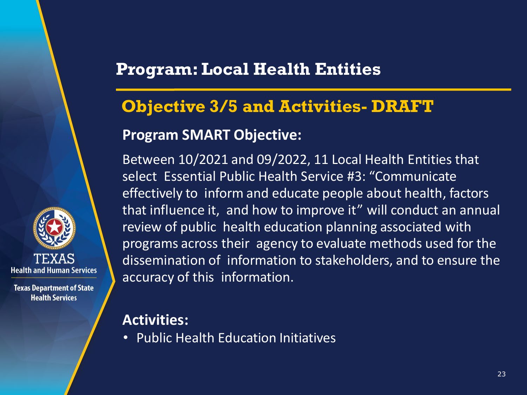## **Objective 3/5 and Activities- DRAFT Program SMART Objective:**

Between 10/2021 and 09/2022, 11 Local Health Entities that select Essential Public Health Service #3: "Communicate effectively to inform and educate people about health, factors that influence it, and how to improve it" will conduct an annual review of public health education planning associated with programs across their agency to evaluate methods used for the dissemination of information to stakeholders, and to ensure the accuracy of this information.

**Activities:**

**Health and Human Services** 

**Texas Department of State Health Services** 

• Public Health Education Initiatives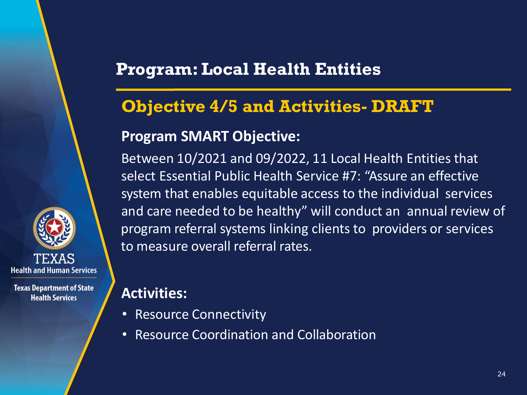### **Objective 4/5 and Activities- DRAFT**

#### **Program SMART Objective:**

Between 10/2021 and 09/2022, 11 Local Health Entities that select Essential Public Health Service #7: "Assure an effective system that enables equitable access to the individual services and care needed to be healthy" will conduct an annual review of program referral systems linking clients to providers or services to measure overall referral rates.

#### **Activities:**

**Health and Human Services** 

- Resource Connectivity
- Resource Coordination and Collaboration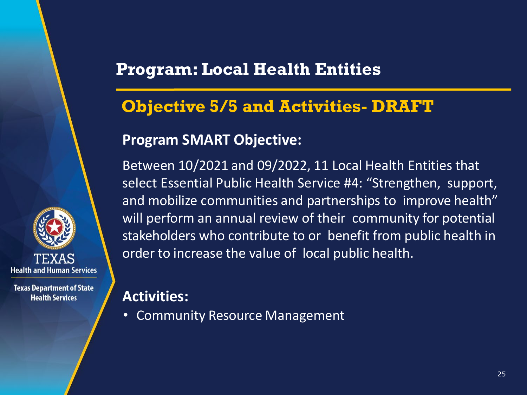#### **Objective 5/5 and Activities- DRAFT**

#### **Program SMART Objective:**

Between 10/2021 and 09/2022, 11 Local Health Entities that select Essential Public Health Service #4: "Strengthen, support, and mobilize communities and partnerships to improve health" will perform an annual review of their community for potential stakeholders who contribute to or benefit from public health in order to increase the value of local public health.

#### **Activities:**

• Community Resource Management

**Health and Human Services**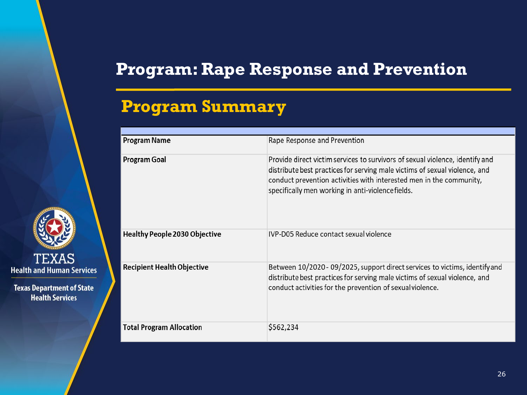#### **Program Summary**



| Program Name                    | Rape Response and Prevention                                                                                                                                                                                                                                                          |
|---------------------------------|---------------------------------------------------------------------------------------------------------------------------------------------------------------------------------------------------------------------------------------------------------------------------------------|
| Program Goal                    | Provide direct victim services to survivors of sexual violence, identify and<br>distribute best practices for serving male victims of sexual violence, and<br>conduct prevention activities with interested men in the community,<br>specifically men working in anti-violencefields. |
| Healthy People 2030 Objective   | IVP-D05 Reduce contact sexual violence                                                                                                                                                                                                                                                |
| Recipient Health Objective      | Between 10/2020 - 09/2025, support direct services to victims, identify and<br>distribute best practices for serving male victims of sexual violence, and<br>conduct activities for the prevention of sexual violence.                                                                |
| <b>Total Program Allocation</b> | \$562,234                                                                                                                                                                                                                                                                             |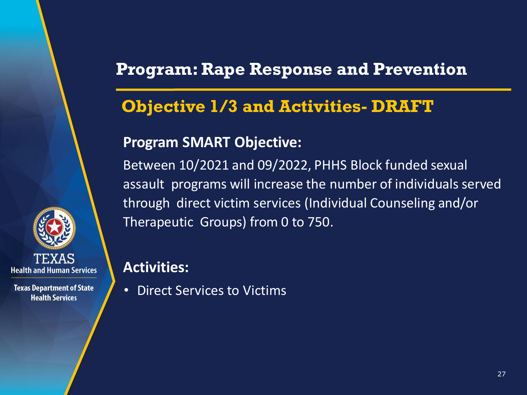## **Objective 1/3 and Activities- DRAFT**

#### **Program SMART Objective:**

Between 10/2021 and 09/2022, PHHS Block funded sexual assault programs will increase the number of individuals served through direct victim services (Individual Counseling and/or Therapeutic Groups) from 0 to 750.

**Activities:**

• Direct Services to Victims

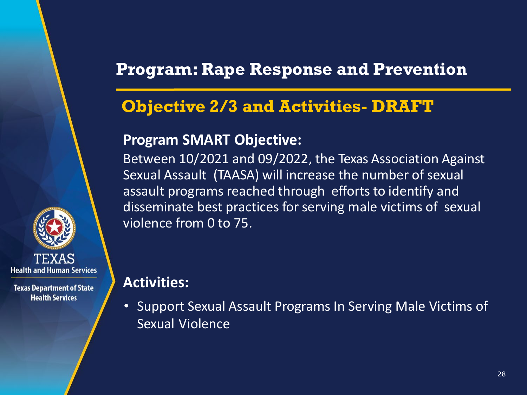## **Objective 2/3 and Activities- DRAFT**

#### **Program SMART Objective:**

Between 10/2021 and 09/2022, the Texas Association Against Sexual Assault (TAASA) will increase the number of sexual assault programs reached through efforts to identify and disseminate best practices for serving male victims of sexual violence from 0 to 75.

#### **Activities:**

**Health and Human Services** 

**Texas Department of State Health Services** 

• Support Sexual Assault Programs In Serving Male Victims of Sexual Violence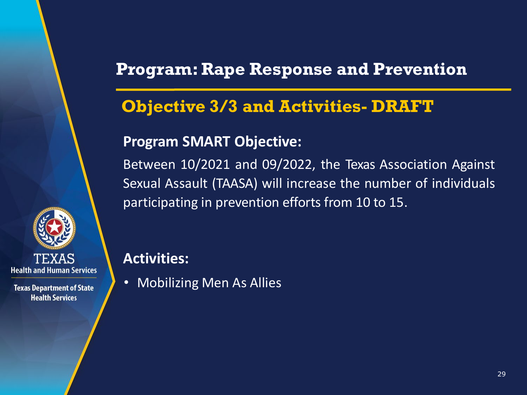## **Objective 3/3 and Activities- DRAFT**

#### **Program SMART Objective:**

Between 10/2021 and 09/2022, the Texas Association Against Sexual Assault (TAASA) will increase the number of individuals participating in prevention efforts from 10 to 15.



**Texas Department of State Health Services** 

#### **Activities:**

• Mobilizing Men As Allies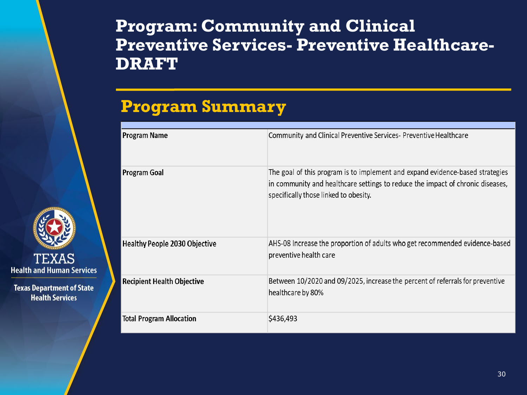### **Program: Community and Clinical Preventive Services- Preventive Healthcare-DRAFT**

### **Program Summary**

**TEXAS Health and Human Services** 

| <b>Program Name</b>                  | Community and Clinical Preventive Services- Preventive Healthcare                                                                                                                                        |
|--------------------------------------|----------------------------------------------------------------------------------------------------------------------------------------------------------------------------------------------------------|
| <b>Program Goal</b>                  | The goal of this program is to implement and expand evidence-based strategies<br>in community and healthcare settings to reduce the impact of chronic diseases,<br>specifically those linked to obesity. |
| <b>Healthy People 2030 Objective</b> | AHS-08 Increase the proportion of adults who get recommended evidence-based<br>preventive health care                                                                                                    |
| <b>Recipient Health Objective</b>    | Between 10/2020 and 09/2025, increase the percent of referrals for preventive<br>healthcare by 80%                                                                                                       |
| <b>Total Program Allocation</b>      | \$436,493                                                                                                                                                                                                |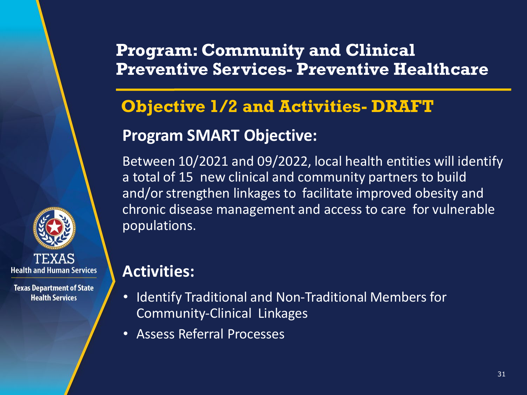### **Program: Community and Clinical Preventive Services- Preventive Healthcare**

## **Objective 1/2 and Activities- DRAFT Program SMART Objective:**

Between 10/2021 and 09/2022, local health entities will identify a total of 15 new clinical and community partners to build and/or strengthen linkages to facilitate improved obesity and chronic disease management and access to care for vulnerable populations.

#### **Activities:**

**Health and Human Services** 

- Identify Traditional and Non-Traditional Members for Community-Clinical Linkages
- Assess Referral Processes

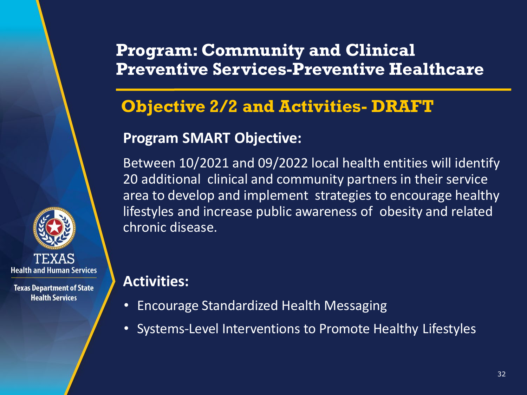### **Program: Community and Clinical Preventive Services-Preventive Healthcare**

## **Objective 2/2 and Activities- DRAFT**

#### **Program SMART Objective:**

Between 10/2021 and 09/2022 local health entities will identify 20 additional clinical and community partners in their service area to develop and implement strategies to encourage healthy lifestyles and increase public awareness of obesity and related chronic disease.

#### **Activities:**

**Health and Human Services** 

- Encourage Standardized Health Messaging
- Systems-Level Interventions to Promote Healthy Lifestyles

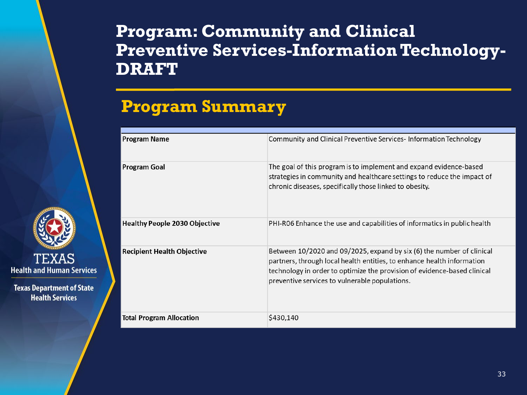#### **Program: Community and Clinical Preventive Services-Information Technology-DRAFT**

#### **Program Summary**



| <b>Program Name</b>                  | Community and Clinical Preventive Services-Information Technology                                                                                                                                                                                                             |
|--------------------------------------|-------------------------------------------------------------------------------------------------------------------------------------------------------------------------------------------------------------------------------------------------------------------------------|
| Program Goal                         | The goal of this program is to implement and expand evidence-based<br>strategies in community and healthcare settings to reduce the impact of<br>chronic diseases, specifically those linked to obesity.                                                                      |
| <b>Healthy People 2030 Objective</b> | PHI-R06 Enhance the use and capabilities of informatics in public health                                                                                                                                                                                                      |
| <b>Recipient Health Objective</b>    | Between 10/2020 and 09/2025, expand by six (6) the number of clinical<br>partners, through local health entities, to enhance health information<br>technology in order to optimize the provision of evidence-based clinical<br>preventive services to vulnerable populations. |
| <b>Total Program Allocation</b>      | \$430,140                                                                                                                                                                                                                                                                     |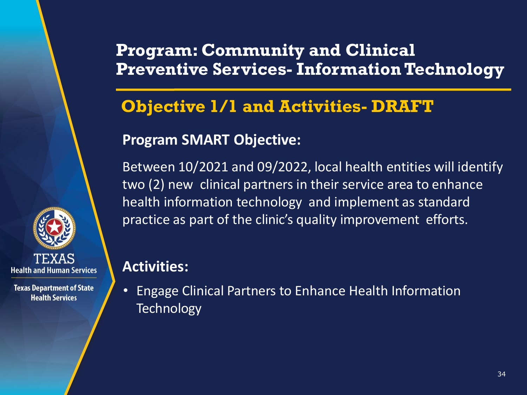### **Program: Community and Clinical Preventive Services- Information Technology**

## **Objective 1/1 and Activities- DRAFT**

#### **Program SMART Objective:**

Between 10/2021 and 09/2022, local health entities will identify two (2) new clinical partners in their service area to enhance health information technology and implement as standard practice as part of the clinic's quality improvement efforts.

#### **Activities:**

• Engage Clinical Partners to Enhance Health Information **Technology** 

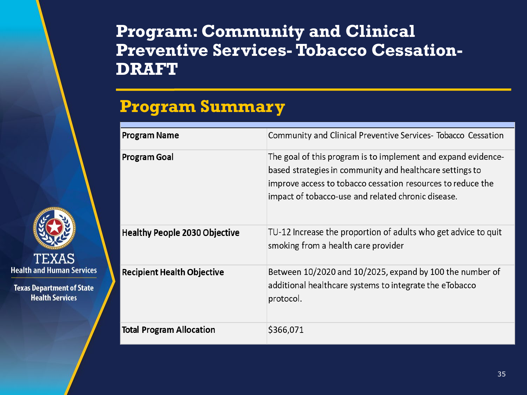#### **Program: Community and Clinical Preventive Services-Tobacco Cessation-DRAFT**

### **Program Summary**

**TEXAS Health and Human Services** 

| <b>Program Name</b>                  | Community and Clinical Preventive Services- Tobacco Cessation                                                                                                                                                                                  |
|--------------------------------------|------------------------------------------------------------------------------------------------------------------------------------------------------------------------------------------------------------------------------------------------|
| <b>Program Goal</b>                  | The goal of this program is to implement and expand evidence-<br>based strategies in community and healthcare settings to<br>improve access to tobacco cessation resources to reduce the<br>impact of tobacco-use and related chronic disease. |
| <b>Healthy People 2030 Objective</b> | TU-12 Increase the proportion of adults who get advice to quit<br>smoking from a health care provider                                                                                                                                          |
| <b>Recipient Health Objective</b>    | Between 10/2020 and 10/2025, expand by 100 the number of<br>additional healthcare systems to integrate the eTobacco<br>protocol.                                                                                                               |
| <b>Total Program Allocation</b>      | \$366,071                                                                                                                                                                                                                                      |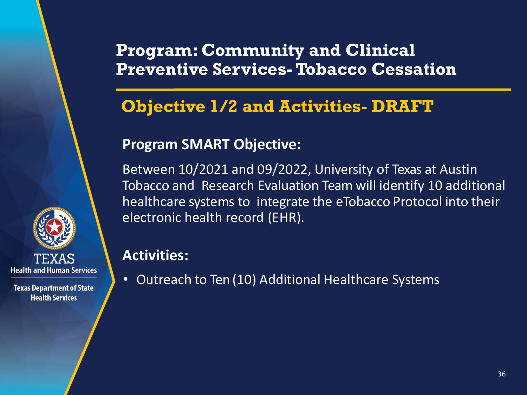### **Program: Community and Clinical Preventive Services-Tobacco Cessation**

## **Objective 1/2 and Activities- DRAFT**

#### **Program SMART Objective:**

Between 10/2021 and 09/2022, University of Texas at Austin Tobacco and Research Evaluation Team will identify 10 additional healthcare systems to integrate the eTobacco Protocol into their electronic health record (EHR).

#### **Activities:**

• Outreach to Ten (10) Additional Healthcare Systems

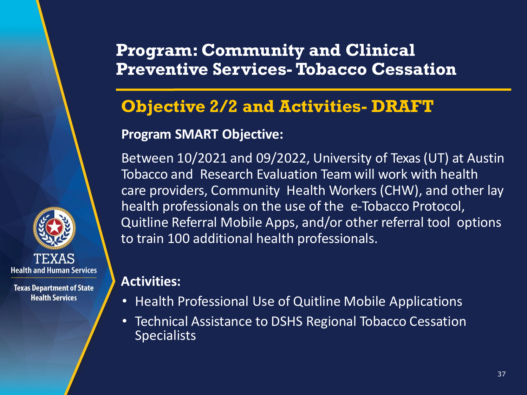#### **Program: Community and Clinical Preventive Services-Tobacco Cessation**

## **Objective 2/2 and Activities- DRAFT**

#### **Program SMART Objective:**

Between 10/2021 and 09/2022, University of Texas (UT) at Austin Tobacco and Research Evaluation Team will work with health care providers, Community Health Workers (CHW), and other lay health professionals on the use of the e-Tobacco Protocol, Quitline Referral Mobile Apps, and/or other referral tool options to train 100 additional health professionals.

#### **Activities:**

**Health and Human Services** 

- Health Professional Use of Quitline Mobile Applications
- Technical Assistance to DSHS Regional Tobacco Cessation **Specialists**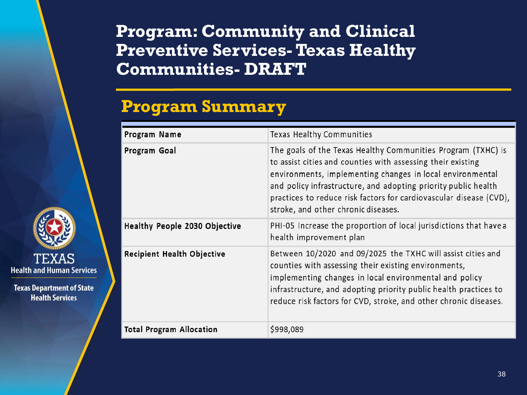#### **Program: Community and Clinical Preventive Services-Texas Healthy Communities- DRAFT**

## **Program Summary**

| Program Name                      | Texas Healthy Communities                                                                                                                                                                                                                                                                                                                                               |
|-----------------------------------|-------------------------------------------------------------------------------------------------------------------------------------------------------------------------------------------------------------------------------------------------------------------------------------------------------------------------------------------------------------------------|
| Program Goal                      | The goals of the Texas Healthy Communities Program (TXHC) is<br>to assist cities and counties with assessing their existing<br>environments, implementing changes in local environmental<br>and policy infrastructure, and adopting priority public health<br>practices to reduce risk factors for cardiovascular disease (CVD),<br>stroke, and other chronic diseases. |
| Healthy People 2030 Objective     | PHI-05 Increase the proportion of local jurisdictions that have a<br>health improvement plan                                                                                                                                                                                                                                                                            |
| <b>Recipient Health Objective</b> | Between 10/2020 and 09/2025 the TXHC will assist cities and<br>counties with assessing their existing environments,<br>implementing changes in local environmental and policy<br>infrastructure, and adopting priority public health practices to<br>reduce risk factors for CVD, stroke, and other chronic diseases.                                                   |
| <b>Total Program Allocation</b>   | \$998,089                                                                                                                                                                                                                                                                                                                                                               |

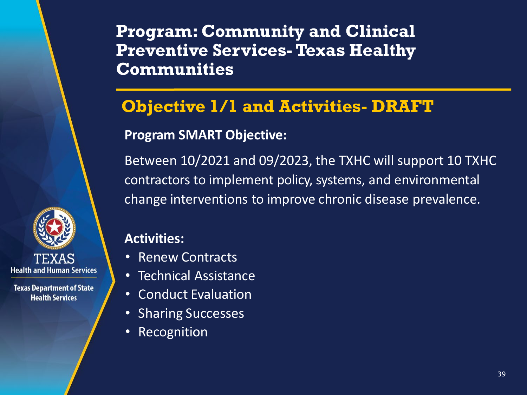**Program: Community and Clinical Preventive Services-Texas Healthy Communities**

## **Objective 1/1 and Activities- DRAFT**

#### **Program SMART Objective:**

Between 10/2021 and 09/2023, the TXHC will support 10 TXHC contractors to implement policy, systems, and environmental change interventions to improve chronic disease prevalence.

#### **Activities:**

TEXAS **Health and Human Services** 

- Renew Contracts
- Technical Assistance
- Conduct Evaluation
- Sharing Successes
- **Recognition**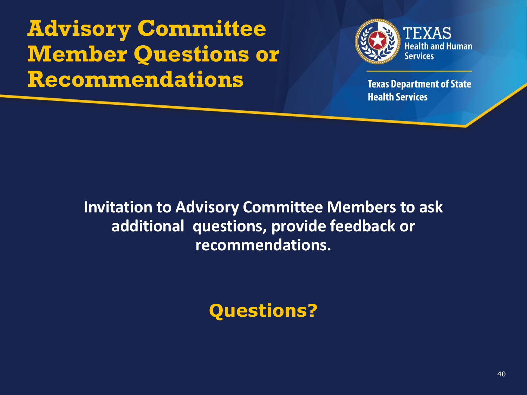**Advisory Committee Member Questions or Recommendations**



**Texas Department of State Health Services** 

**Invitation to Advisory Committee Members to ask additional questions, provide feedback or recommendations.**

**Questions?**